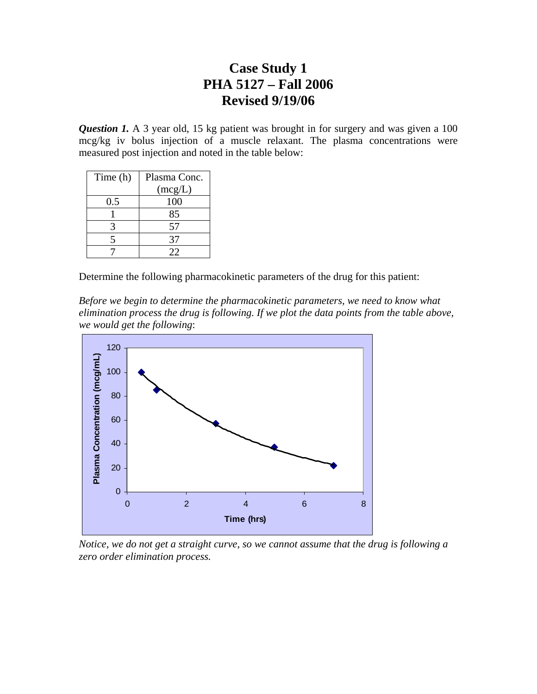*Question 1.* A 3 year old, 15 kg patient was brought in for surgery and was given a 100 mcg/kg iv bolus injection of a muscle relaxant. The plasma concentrations were measured post injection and noted in the table below:

| Time (h)     | Plasma Conc. |  |  |
|--------------|--------------|--|--|
|              | (mcg/L)      |  |  |
| 0.5          | 100          |  |  |
|              | 85           |  |  |
| $\mathbf{z}$ | 57           |  |  |
| 5            | 37           |  |  |
|              | フフ           |  |  |

Determine the following pharmacokinetic parameters of the drug for this patient:

*Before we begin to determine the pharmacokinetic parameters, we need to know what elimination process the drug is following. If we plot the data points from the table above, we would get the following*:



*Notice, we do not get a straight curve, so we cannot assume that the drug is following a zero order elimination process.*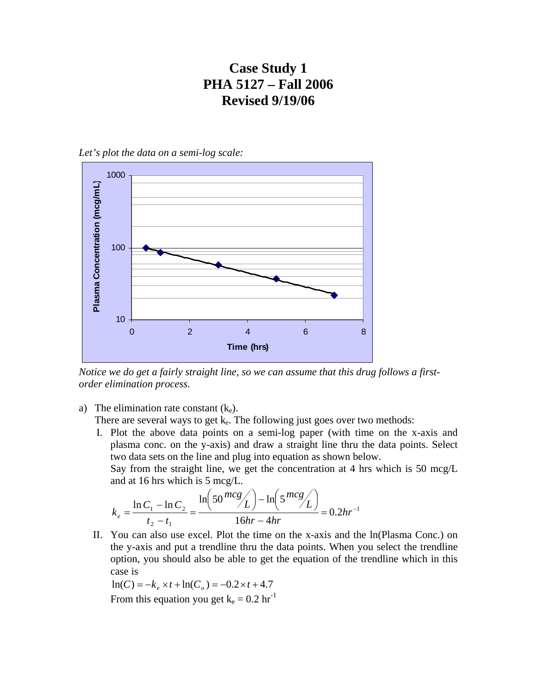*Let's plot the data on a semi-log scale:* 



*Notice we do get a fairly straight line, so we can assume that this drug follows a firstorder elimination process.* 

a) The elimination rate constant  $(k_e)$ .

There are several ways to get  $k_e$ . The following just goes over two methods:

I. Plot the above data points on a semi-log paper (with time on the x-axis and plasma conc. on the y-axis) and draw a straight line thru the data points. Select two data sets on the line and plug into equation as shown below.

Say from the straight line, we get the concentration at 4 hrs which is 50 mcg/L and at 16 hrs which is 5 mcg/L.

$$
k_e = \frac{\ln C_1 - \ln C_2}{t_2 - t_1} = \frac{\ln \left(50 \frac{mcg}{L}\right) - \ln \left(5 \frac{mcg}{L}\right)}{16hr - 4hr} = 0.2hr^{-1}
$$

II. You can also use excel. Plot the time on the x-axis and the ln(Plasma Conc.) on the y-axis and put a trendline thru the data points. When you select the trendline option, you should also be able to get the equation of the trendline which in this case is

$$
\ln(C) = -k_e \times t + \ln(C_o) = -0.2 \times t + 4.7
$$

From this equation you get  $k_e = 0.2$  hr<sup>-1</sup>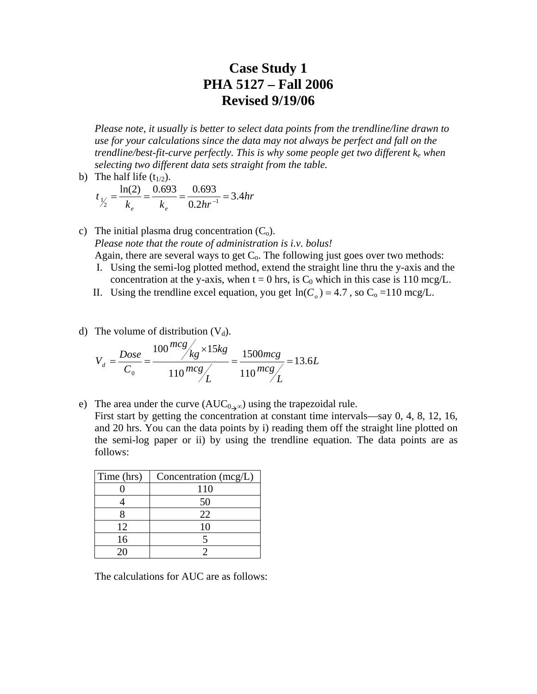*Please note, it usually is better to select data points from the trendline/line drawn to use for your calculations since the data may not always be perfect and fall on the trendline/best-fit-curve perfectly. This is why some people get two different ke when selecting two different data sets straight from the table.* 

b) The half life  $(t_{1/2})$ .

$$
t_{\frac{1}{2}} = \frac{\ln(2)}{k_e} = \frac{0.693}{k_e} = \frac{0.693}{0.2hr^{-1}} = 3.4hr
$$

- c) The initial plasma drug concentration  $(C_0)$ . *Please note that the route of administration is i.v. bolus!* Again, there are several ways to get  $C_0$ . The following just goes over two methods:
	- I. Using the semi-log plotted method, extend the straight line thru the y-axis and the concentration at the y-axis, when  $t = 0$  hrs, is  $C_0$  which in this case is 110 mcg/L.
	- II. Using the trendline excel equation, you get  $\ln(C_0) = 4.7$ , so  $C_0 = 110$  mcg/L.
- d) The volume of distribution  $(V_d)$ .

$$
V_d = \frac{Dose}{C_0} = \frac{100 \frac{mcg}{kg} \times 15 kg}{110 \frac{mcg}{L}} = \frac{1500 mcg}{110 \frac{mcg}{L}} = 13.6L
$$

e) The area under the curve  $(AUC_{0}^{\circ})$  using the trapezoidal rule.

First start by getting the concentration at constant time intervals—say 0, 4, 8, 12, 16, and 20 hrs. You can the data points by i) reading them off the straight line plotted on the semi-log paper or ii) by using the trendline equation. The data points are as follows:

| Time (hrs) | Concentration (mcg/L) |
|------------|-----------------------|
|            | 110                   |
|            | 50                    |
|            | 22                    |
| 12         | 10                    |
| 16         |                       |
|            |                       |

The calculations for AUC are as follows: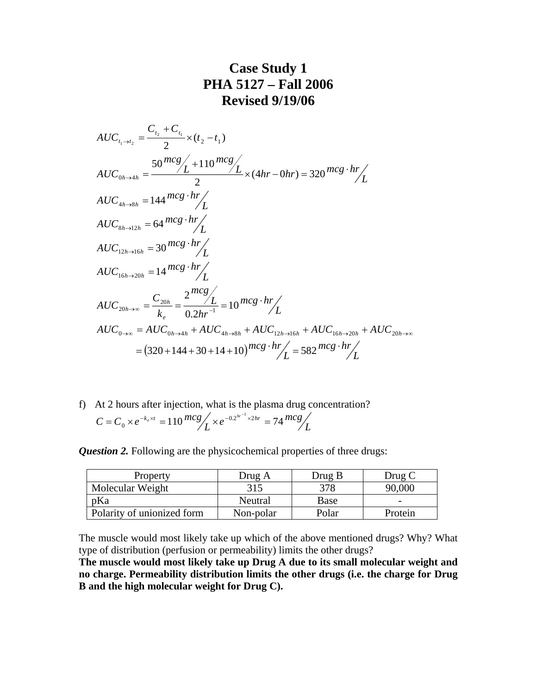$$
AUC_{t_1 \to t_2} = \frac{C_{t_2} + C_{t_1}}{2} \times (t_2 - t_1)
$$
  
\n
$$
AUC_{0h \to 4h} = \frac{50 \frac{mcg}{L} + 110 \frac{mcg}{L}}{2} \times (4hr - 0hr) = 320 \frac{mcg \cdot hr}{L}
$$
  
\n
$$
AUC_{4h \to 8h} = 144 \frac{mcg \cdot hr}{L}
$$
  
\n
$$
AUC_{8h \to 12h} = 64 \frac{mcg \cdot hr}{L}
$$
  
\n
$$
AUC_{12h \to 16h} = 30 \frac{mcg \cdot hr}{L}
$$
  
\n
$$
AUC_{16h \to 20h} = 14 \frac{mcg \cdot hr}{L}
$$
  
\n
$$
AUC_{20h \to \infty} = \frac{C_{20h}}{k_e} = \frac{2 \frac{mcg}{L}}{0.2hr^{-1}} = 10 \frac{mcg \cdot hr}{L}
$$
  
\n
$$
AUC_{0 \to \infty} = AUC_{0h \to 4h} + AUC_{4h \to 8h} + AUC_{12h \to 16h} + AUC_{16h \to 20h} + AUC_{20h \to \infty}
$$
  
\n
$$
= (320 + 144 + 30 + 14 + 10) \frac{mcg \cdot hr}{L} = 582 \frac{mcg \cdot hr}{L}
$$

f) At 2 hours after injection, what is the plasma drug concentration?  $C = C_0 \times e^{-k_e \times t} = 110 \frac{mcg}{L} \times e^{-0.2^{hr^{-1}} \times 2hr} = 74 \frac{mcg}{L}$  $= C_0 \times e^{-k_e \times t} = 110^{m c g} \times e^{-0.2^{hr^{-1}} \times 2hr} =$ 

*Question 2.* Following are the physicochemical properties of three drugs:

| Property                   | Drug A    | Drug B | Drug C  |
|----------------------------|-----------|--------|---------|
| Molecular Weight           | 315       | 378    | 90,000  |
| pKa                        | Neutral   | Base   |         |
| Polarity of unionized form | Non-polar | Polar  | Protein |

The muscle would most likely take up which of the above mentioned drugs? Why? What type of distribution (perfusion or permeability) limits the other drugs?

**The muscle would most likely take up Drug A due to its small molecular weight and no charge. Permeability distribution limits the other drugs (i.e. the charge for Drug B and the high molecular weight for Drug C).**